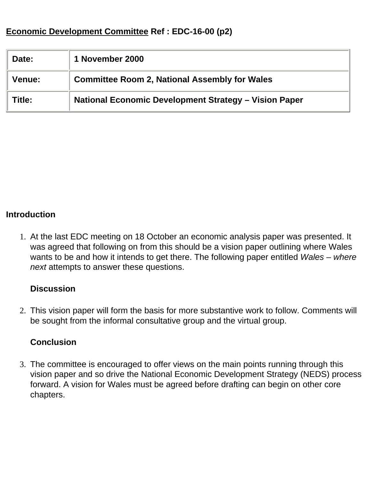# **Economic Development Committee Ref : EDC-16-00 (p2)**

| Date:         | 1 November 2000                                       |
|---------------|-------------------------------------------------------|
| <b>Venue:</b> | <b>Committee Room 2, National Assembly for Wales</b>  |
| Title:        | National Economic Development Strategy - Vision Paper |

#### **Introduction**

1. At the last EDC meeting on 18 October an economic analysis paper was presented. It was agreed that following on from this should be a vision paper outlining where Wales wants to be and how it intends to get there. The following paper entitled *Wales – where next* attempts to answer these questions.

#### **Discussion**

2. This vision paper will form the basis for more substantive work to follow. Comments will be sought from the informal consultative group and the virtual group.

#### **Conclusion**

3. The committee is encouraged to offer views on the main points running through this vision paper and so drive the National Economic Development Strategy (NEDS) process forward. A vision for Wales must be agreed before drafting can begin on other core chapters.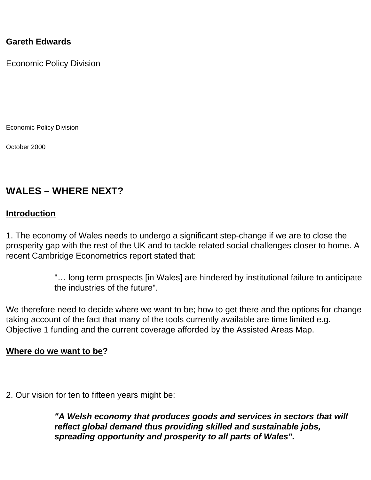#### **Gareth Edwards**

Economic Policy Division

Economic Policy Division

October 2000

# **WALES – WHERE NEXT?**

#### **Introduction**

1. The economy of Wales needs to undergo a significant step-change if we are to close the prosperity gap with the rest of the UK and to tackle related social challenges closer to home. A recent Cambridge Econometrics report stated that:

> "… long term prospects [in Wales] are hindered by institutional failure to anticipate the industries of the future".

We therefore need to decide where we want to be; how to get there and the options for change taking account of the fact that many of the tools currently available are time limited e.g. Objective 1 funding and the current coverage afforded by the Assisted Areas Map.

#### **Where do we want to be?**

2. Our vision for ten to fifteen years might be:

*"A Welsh economy that produces goods and services in sectors that will reflect global demand thus providing skilled and sustainable jobs, spreading opportunity and prosperity to all parts of Wales".*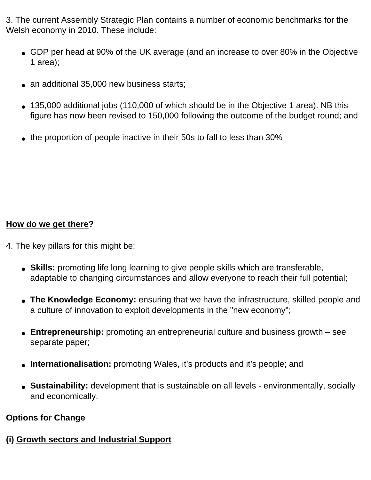3. The current Assembly Strategic Plan contains a number of economic benchmarks for the Welsh economy in 2010. These include:

- GDP per head at 90% of the UK average (and an increase to over 80% in the Objective 1 area);
- an additional 35,000 new business starts;
- $\bullet$  135,000 additional jobs (110,000 of which should be in the Objective 1 area). NB this figure has now been revised to 150,000 following the outcome of the budget round; and
- the proportion of people inactive in their 50s to fall to less than 30%

### **How do we get there?**

- 4. The key pillars for this might be:
	- Skills: promoting life long learning to give people skills which are transferable, adaptable to changing circumstances and allow everyone to reach their full potential;
	- The Knowledge Economy: ensuring that we have the infrastructure, skilled people and a culture of innovation to exploit developments in the "new economy";
	- **Entrepreneurship:** promoting an entrepreneurial culture and business growth see separate paper;
	- **Internationalisation:** promoting Wales, it's products and it's people; and
	- **Sustainability:** development that is sustainable on all levels environmentally, socially and economically.

# **Options for Change**

**(i) Growth sectors and Industrial Support**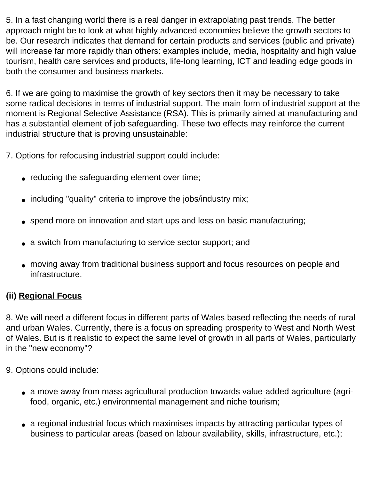5. In a fast changing world there is a real danger in extrapolating past trends. The better approach might be to look at what highly advanced economies believe the growth sectors to be. Our research indicates that demand for certain products and services (public and private) will increase far more rapidly than others: examples include, media, hospitality and high value tourism, health care services and products, life-long learning, ICT and leading edge goods in both the consumer and business markets.

6. If we are going to maximise the growth of key sectors then it may be necessary to take some radical decisions in terms of industrial support. The main form of industrial support at the moment is Regional Selective Assistance (RSA). This is primarily aimed at manufacturing and has a substantial element of job safeguarding. These two effects may reinforce the current industrial structure that is proving unsustainable:

7. Options for refocusing industrial support could include:

- reducing the safeguarding element over time;
- including "quality" criteria to improve the jobs/industry mix;
- spend more on innovation and start ups and less on basic manufacturing;
- a switch from manufacturing to service sector support; and
- moving away from traditional business support and focus resources on people and infrastructure.

# **(ii) Regional Focus**

8. We will need a different focus in different parts of Wales based reflecting the needs of rural and urban Wales. Currently, there is a focus on spreading prosperity to West and North West of Wales. But is it realistic to expect the same level of growth in all parts of Wales, particularly in the "new economy"?

- 9. Options could include:
	- a move away from mass agricultural production towards value-added agriculture (agrifood, organic, etc.) environmental management and niche tourism;
	- a regional industrial focus which maximises impacts by attracting particular types of business to particular areas (based on labour availability, skills, infrastructure, etc.);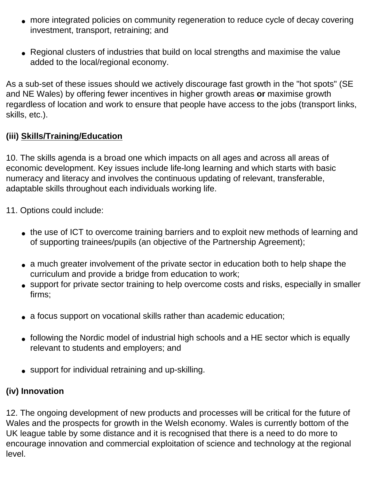- more integrated policies on community regeneration to reduce cycle of decay covering investment, transport, retraining; and
- Regional clusters of industries that build on local strengths and maximise the value added to the local/regional economy.

As a sub-set of these issues should we actively discourage fast growth in the "hot spots" (SE and NE Wales) by offering fewer incentives in higher growth areas **or** maximise growth regardless of location and work to ensure that people have access to the jobs (transport links, skills, etc.).

# **(iii) Skills/Training/Education**

10. The skills agenda is a broad one which impacts on all ages and across all areas of economic development. Key issues include life-long learning and which starts with basic numeracy and literacy and involves the continuous updating of relevant, transferable, adaptable skills throughout each individuals working life.

11. Options could include:

- the use of ICT to overcome training barriers and to exploit new methods of learning and of supporting trainees/pupils (an objective of the Partnership Agreement);
- a much greater involvement of the private sector in education both to help shape the curriculum and provide a bridge from education to work;
- support for private sector training to help overcome costs and risks, especially in smaller firms;
- a focus support on vocational skills rather than academic education;
- following the Nordic model of industrial high schools and a HE sector which is equally relevant to students and employers; and
- support for individual retraining and up-skilling.

# **(iv) Innovation**

12. The ongoing development of new products and processes will be critical for the future of Wales and the prospects for growth in the Welsh economy. Wales is currently bottom of the UK league table by some distance and it is recognised that there is a need to do more to encourage innovation and commercial exploitation of science and technology at the regional level.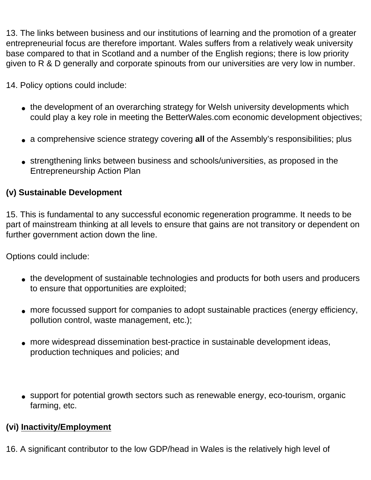13. The links between business and our institutions of learning and the promotion of a greater entrepreneurial focus are therefore important. Wales suffers from a relatively weak university base compared to that in Scotland and a number of the English regions; there is low priority given to R & D generally and corporate spinouts from our universities are very low in number.

14. Policy options could include:

- the development of an overarching strategy for Welsh university developments which could play a key role in meeting the BetterWales.com economic development objectives;
- a comprehensive science strategy covering **all** of the Assembly's responsibilities; plus
- strengthening links between business and schools/universities, as proposed in the Entrepreneurship Action Plan

# **(v) Sustainable Development**

15. This is fundamental to any successful economic regeneration programme. It needs to be part of mainstream thinking at all levels to ensure that gains are not transitory or dependent on further government action down the line.

Options could include:

- the development of sustainable technologies and products for both users and producers to ensure that opportunities are exploited;
- more focussed support for companies to adopt sustainable practices (energy efficiency, pollution control, waste management, etc.);
- more widespread dissemination best-practice in sustainable development ideas, production techniques and policies; and
- support for potential growth sectors such as renewable energy, eco-tourism, organic farming, etc.

# **(vi) Inactivity/Employment**

16. A significant contributor to the low GDP/head in Wales is the relatively high level of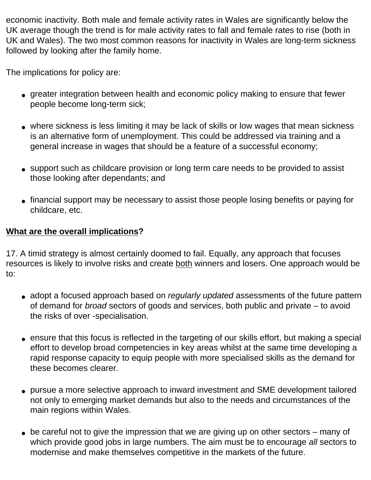economic inactivity. Both male and female activity rates in Wales are significantly below the UK average though the trend is for male activity rates to fall and female rates to rise (both in UK and Wales). The two most common reasons for inactivity in Wales are long-term sickness followed by looking after the family home.

The implications for policy are:

- greater integration between health and economic policy making to ensure that fewer people become long-term sick;
- where sickness is less limiting it may be lack of skills or low wages that mean sickness is an alternative form of unemployment. This could be addressed via training and a general increase in wages that should be a feature of a successful economy;
- support such as childcare provision or long term care needs to be provided to assist those looking after dependants; and
- financial support may be necessary to assist those people losing benefits or paying for childcare, etc.

#### **What are the overall implications?**

17. A timid strategy is almost certainly doomed to fail. Equally, any approach that focuses resources is likely to involve risks and create both winners and losers. One approach would be to:

- adopt a focused approach based on *regularly updated* assessments of the future pattern of demand for *broad* sectors of goods and services, both public and private – to avoid the risks of over -specialisation.
- ensure that this focus is reflected in the targeting of our skills effort, but making a special effort to develop broad competencies in key areas whilst at the same time developing a rapid response capacity to equip people with more specialised skills as the demand for these becomes clearer.
- pursue a more selective approach to inward investment and SME development tailored not only to emerging market demands but also to the needs and circumstances of the main regions within Wales.
- $\bullet$  be careful not to give the impression that we are giving up on other sectors many of which provide good jobs in large numbers. The aim must be to encourage *all* sectors to modernise and make themselves competitive in the markets of the future.